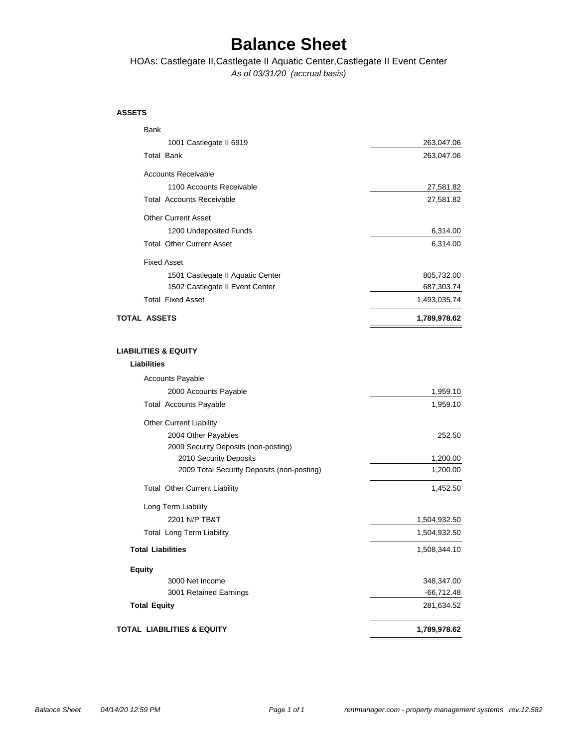### **Balance Sheet**

*As of 03/31/20 (accrual basis)* HOAs: Castlegate II,Castlegate II Aquatic Center,Castlegate II Event Center

#### **ASSETS**

| Bank                                       |              |
|--------------------------------------------|--------------|
| 1001 Castlegate II 6919                    | 263,047.06   |
| <b>Total Bank</b>                          | 263,047.06   |
| <b>Accounts Receivable</b>                 |              |
| 1100 Accounts Receivable                   | 27,581.82    |
| <b>Total Accounts Receivable</b>           | 27,581.82    |
| <b>Other Current Asset</b>                 |              |
| 1200 Undeposited Funds                     | 6,314.00     |
| <b>Total Other Current Asset</b>           | 6,314.00     |
| <b>Fixed Asset</b>                         |              |
| 1501 Castlegate II Aquatic Center          | 805,732.00   |
| 1502 Castlegate II Event Center            | 687,303.74   |
| <b>Total Fixed Asset</b>                   | 1,493,035.74 |
| <b>TOTAL ASSETS</b>                        | 1,789,978.62 |
|                                            |              |
| <b>LIABILITIES &amp; EQUITY</b>            |              |
| Liabilities                                |              |
| <b>Accounts Payable</b>                    |              |
| 2000 Accounts Payable                      | 1,959.10     |
| <b>Total Accounts Payable</b>              | 1,959.10     |
| <b>Other Current Liability</b>             |              |
| 2004 Other Payables                        | 252.50       |
| 2009 Security Deposits (non-posting)       |              |
| 2010 Security Deposits                     | 1,200.00     |
| 2009 Total Security Deposits (non-posting) | 1,200.00     |
| <b>Total Other Current Liability</b>       | 1,452.50     |
| Long Term Liability                        |              |
| 2201 N/P TB&T                              | 1,504,932.50 |
| <b>Total Long Term Liability</b>           | 1,504,932.50 |
| <b>Total Liabilities</b>                   | 1,508,344.10 |
| <b>Equity</b>                              |              |
| 3000 Net Income                            | 348,347.00   |
| 3001 Retained Earnings                     | -66,712.48   |
| <b>Total Equity</b>                        | 281,634.52   |
| <b>TOTAL LIABILITIES &amp; EQUITY</b>      | 1,789,978.62 |
|                                            |              |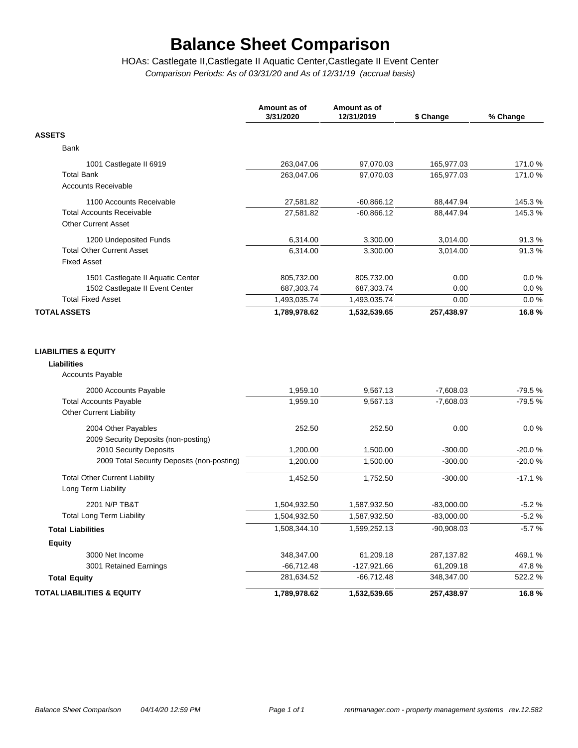# **Balance Sheet Comparison**

*Comparison Periods: As of 03/31/20 and As of 12/31/19 (accrual basis)* HOAs: Castlegate II,Castlegate II Aquatic Center,Castlegate II Event Center

|                                                                                   | Amount as of<br>3/31/2020 | Amount as of<br>12/31/2019 | \$ Change                  | % Change             |
|-----------------------------------------------------------------------------------|---------------------------|----------------------------|----------------------------|----------------------|
| <b>ASSETS</b>                                                                     |                           |                            |                            |                      |
| Bank                                                                              |                           |                            |                            |                      |
| 1001 Castlegate II 6919                                                           | 263,047.06                | 97,070.03                  | 165,977.03                 | 171.0%               |
| <b>Total Bank</b>                                                                 | 263,047.06                | 97,070.03                  | 165,977.03                 | 171.0%               |
| <b>Accounts Receivable</b>                                                        |                           |                            |                            |                      |
| 1100 Accounts Receivable                                                          | 27,581.82                 | $-60,866.12$               | 88,447.94                  | 145.3%               |
| <b>Total Accounts Receivable</b>                                                  | 27,581.82                 | $-60,866.12$               | 88,447.94                  | 145.3%               |
| <b>Other Current Asset</b>                                                        |                           |                            |                            |                      |
| 1200 Undeposited Funds                                                            | 6,314.00                  | 3,300.00                   | 3,014.00                   | 91.3%                |
| <b>Total Other Current Asset</b>                                                  | 6,314.00                  | 3,300.00                   | 3,014.00                   | 91.3%                |
| <b>Fixed Asset</b>                                                                |                           |                            |                            |                      |
| 1501 Castlegate II Aquatic Center                                                 | 805,732.00                | 805,732.00                 | 0.00                       | 0.0%                 |
| 1502 Castlegate II Event Center                                                   | 687,303.74                | 687,303.74                 | 0.00                       | 0.0%                 |
| <b>Total Fixed Asset</b>                                                          | 1,493,035.74              | 1,493,035.74               | 0.00                       | 0.0 %                |
| <b>TOTAL ASSETS</b>                                                               | 1,789,978.62              | 1,532,539.65               | 257,438.97                 | 16.8%                |
| <b>Accounts Payable</b><br>2000 Accounts Payable<br><b>Total Accounts Payable</b> | 1,959.10<br>1,959.10      | 9,567.13<br>9,567.13       | $-7,608.03$<br>$-7,608.03$ | $-79.5%$<br>$-79.5%$ |
| <b>Other Current Liability</b>                                                    |                           |                            |                            |                      |
| 2004 Other Payables<br>2009 Security Deposits (non-posting)                       | 252.50                    | 252.50                     | 0.00                       | 0.0%                 |
| 2010 Security Deposits                                                            | 1,200.00                  | 1,500.00                   | $-300.00$                  | $-20.0%$             |
| 2009 Total Security Deposits (non-posting)                                        | 1,200.00                  | 1,500.00                   | $-300.00$                  | $-20.0%$             |
| <b>Total Other Current Liability</b><br>Long Term Liability                       | 1,452.50                  | 1,752.50                   | $-300.00$                  | $-17.1%$             |
| 2201 N/P TB&T                                                                     | 1,504,932.50              | 1,587,932.50               | $-83,000.00$               | $-5.2%$              |
| <b>Total Long Term Liability</b>                                                  | 1,504,932.50              | 1,587,932.50               | $-83,000.00$               | $-5.2%$              |
| <b>Total Liabilities</b>                                                          | 1,508,344.10              | 1,599,252.13               | $-90,908.03$               | $-5.7%$              |
| Equity                                                                            |                           |                            |                            |                      |
| 3000 Net Income                                                                   | 348,347.00                | 61,209.18                  | 287,137.82                 | 469.1%               |
| 3001 Retained Earnings                                                            | $-66,712.48$              | $-127,921.66$              | 61,209.18                  | 47.8%                |
| <b>Total Equity</b>                                                               | 281,634.52                | $-66,712.48$               | 348,347.00                 | 522.2%               |
| <b>TOTAL LIABILITIES &amp; EQUITY</b>                                             | 1,789,978.62              | 1,532,539.65               | 257,438.97                 | 16.8%                |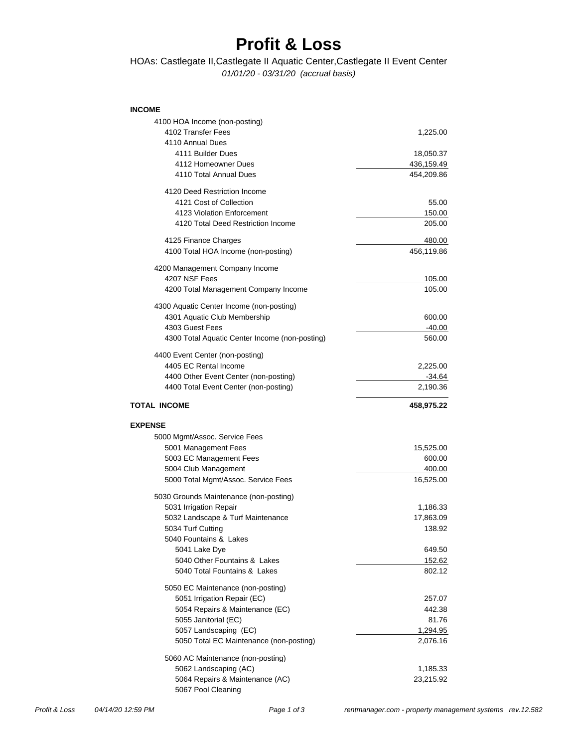## **Profit & Loss**

### *01/01/20 - 03/31/20 (accrual basis)* HOAs: Castlegate II,Castlegate II Aquatic Center,Castlegate II Event Center

#### **INCOME**

| 4100 HOA Income (non-posting)                               |                       |
|-------------------------------------------------------------|-----------------------|
| 4102 Transfer Fees                                          | 1,225.00              |
| 4110 Annual Dues                                            |                       |
| 4111 Builder Dues                                           | 18,050.37             |
| 4112 Homeowner Dues                                         | 436,159.49            |
| 4110 Total Annual Dues                                      | 454,209.86            |
| 4120 Deed Restriction Income                                |                       |
| 4121 Cost of Collection                                     | 55.00                 |
| 4123 Violation Enforcement                                  | 150.00                |
| 4120 Total Deed Restriction Income                          | 205.00                |
| 4125 Finance Charges                                        | 480.00                |
| 4100 Total HOA Income (non-posting)                         | 456,119.86            |
| 4200 Management Company Income                              |                       |
| 4207 NSF Fees                                               | 105.00                |
| 4200 Total Management Company Income                        | 105.00                |
| 4300 Aquatic Center Income (non-posting)                    |                       |
| 4301 Aquatic Club Membership                                | 600.00                |
| 4303 Guest Fees                                             | -40.00                |
| 4300 Total Aquatic Center Income (non-posting)              | 560.00                |
| 4400 Event Center (non-posting)                             |                       |
| 4405 EC Rental Income                                       | 2,225.00              |
| 4400 Other Event Center (non-posting)                       | -34.64                |
| 4400 Total Event Center (non-posting)                       | 2,190.36              |
| <b>TOTAL INCOME</b>                                         | 458,975.22            |
|                                                             |                       |
|                                                             |                       |
| <b>EXPENSE</b>                                              |                       |
| 5000 Mgmt/Assoc. Service Fees                               |                       |
| 5001 Management Fees                                        | 15,525.00             |
| 5003 EC Management Fees                                     | 600.00                |
| 5004 Club Management<br>5000 Total Mgmt/Assoc. Service Fees | 400.00<br>16,525.00   |
|                                                             |                       |
| 5030 Grounds Maintenance (non-posting)                      |                       |
| 5031 Irrigation Repair                                      | 1,186.33<br>17,863.09 |
| 5032 Landscape & Turf Maintenance<br>5034 Turf Cutting      | 138.92                |
| 5040 Fountains & Lakes                                      |                       |
| 5041 Lake Dye                                               | 649.50                |
| 5040 Other Fountains & Lakes                                | 152.62                |
| 5040 Total Fountains & Lakes                                | 802.12                |
| 5050 EC Maintenance (non-posting)                           |                       |
| 5051 Irrigation Repair (EC)                                 | 257.07                |
| 5054 Repairs & Maintenance (EC)                             | 442.38                |
| 5055 Janitorial (EC)                                        | 81.76                 |
| 5057 Landscaping (EC)                                       | 1,294.95              |
| 5050 Total EC Maintenance (non-posting)                     | 2,076.16              |
| 5060 AC Maintenance (non-posting)                           |                       |
| 5062 Landscaping (AC)                                       | 1,185.33              |
| 5064 Repairs & Maintenance (AC)<br>5067 Pool Cleaning       | 23,215.92             |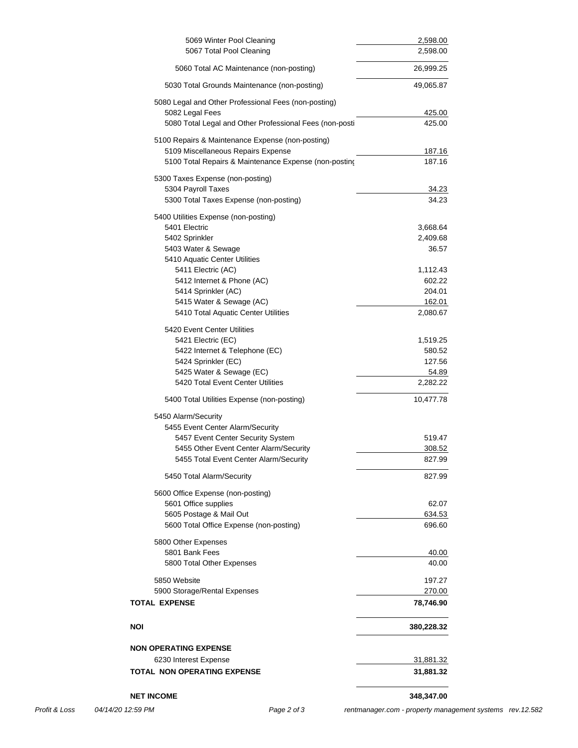| 5069 Winter Pool Cleaning                                     | 2,598.00          |
|---------------------------------------------------------------|-------------------|
| 5067 Total Pool Cleaning                                      | 2,598.00          |
| 5060 Total AC Maintenance (non-posting)                       | 26,999.25         |
| 5030 Total Grounds Maintenance (non-posting)                  | 49,065.87         |
| 5080 Legal and Other Professional Fees (non-posting)          |                   |
| 5082 Legal Fees                                               | 425.00            |
| 5080 Total Legal and Other Professional Fees (non-posti       | 425.00            |
| 5100 Repairs & Maintenance Expense (non-posting)              |                   |
| 5109 Miscellaneous Repairs Expense                            | 187.16            |
| 5100 Total Repairs & Maintenance Expense (non-posting         | 187.16            |
| 5300 Taxes Expense (non-posting)                              |                   |
| 5304 Payroll Taxes                                            | 34.23             |
| 5300 Total Taxes Expense (non-posting)                        | 34.23             |
| 5400 Utilities Expense (non-posting)                          |                   |
| 5401 Electric                                                 | 3,668.64          |
| 5402 Sprinkler                                                | 2,409.68          |
| 5403 Water & Sewage                                           | 36.57             |
| 5410 Aquatic Center Utilities                                 |                   |
| 5411 Electric (AC)                                            | 1,112.43          |
| 5412 Internet & Phone (AC)                                    | 602.22            |
| 5414 Sprinkler (AC)                                           | 204.01            |
| 5415 Water & Sewage (AC)                                      | 162.01            |
| 5410 Total Aquatic Center Utilities                           | 2,080.67          |
|                                                               |                   |
| 5420 Event Center Utilities<br>5421 Electric (EC)             | 1,519.25          |
| 5422 Internet & Telephone (EC)                                | 580.52            |
| 5424 Sprinkler (EC)                                           |                   |
|                                                               | 127.56            |
| 5425 Water & Sewage (EC)<br>5420 Total Event Center Utilities | 54.89<br>2,282.22 |
|                                                               |                   |
| 5400 Total Utilities Expense (non-posting)                    | 10,477.78         |
| 5450 Alarm/Security                                           |                   |
| 5455 Event Center Alarm/Security                              |                   |
| 5457 Event Center Security System                             | 519.47            |
| 5455 Other Event Center Alarm/Security                        | 308.52            |
| 5455 Total Event Center Alarm/Security                        | 827.99            |
| 5450 Total Alarm/Security                                     | 827.99            |
| 5600 Office Expense (non-posting)                             |                   |
| 5601 Office supplies                                          | 62.07             |
| 5605 Postage & Mail Out                                       | 634.53            |
| 5600 Total Office Expense (non-posting)                       | 696.60            |
| 5800 Other Expenses                                           |                   |
| 5801 Bank Fees                                                | 40.00             |
| 5800 Total Other Expenses                                     | 40.00             |
|                                                               |                   |
| 5850 Website                                                  | 197.27            |
| 5900 Storage/Rental Expenses                                  | 270.00            |
| <b>TOTAL EXPENSE</b>                                          | 78,746.90         |
| NOI                                                           | 380,228.32        |
|                                                               |                   |
| <b>NON OPERATING EXPENSE</b>                                  |                   |
| 6230 Interest Expense                                         | <u>31,881.32</u>  |
| <b>TOTAL NON OPERATING EXPENSE</b>                            | 31,881.32         |
| <b>NET INCOME</b>                                             | 348,347.00        |
|                                                               |                   |

*Profit & Loss 04/14/20 12:59 PM Page 2 of 3 [rentmanager.com - property management systems rev.12.582](http://www.rentmanager.com)*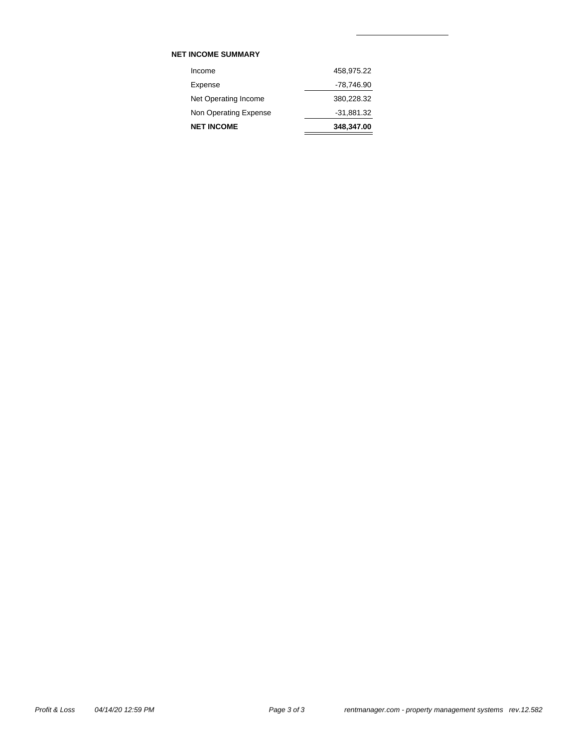### **NET INCOME SUMMARY**

| <b>NET INCOME</b>     | 348,347.00   |
|-----------------------|--------------|
| Non Operating Expense | $-31,881.32$ |
| Net Operating Income  | 380,228.32   |
| Expense               | -78,746.90   |
| Income                | 458,975.22   |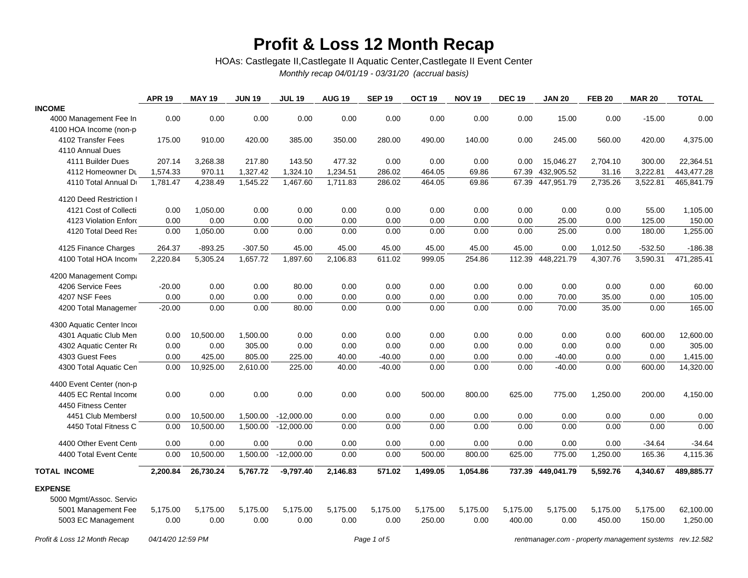## **Profit & Loss 12 Month Recap**

HOAs: Castlegate II,Castlegate II Aquatic Center,Castlegate II Event Center

*Monthly recap 04/01/19 - 03/31/20 (accrual basis)*

|                              | <b>APR 19</b>     | <b>MAY 19</b> | <b>JUN 19</b> | <b>JUL 19</b> | <b>AUG 19</b> | <b>SEP 19</b> | OCT <sub>19</sub> | <b>NOV 19</b> | <b>DEC 19</b> | <b>JAN 20</b>                                            | <b>FEB 20</b> | <b>MAR 20</b> | <b>TOTAL</b> |
|------------------------------|-------------------|---------------|---------------|---------------|---------------|---------------|-------------------|---------------|---------------|----------------------------------------------------------|---------------|---------------|--------------|
| <b>INCOME</b>                |                   |               |               |               |               |               |                   |               |               |                                                          |               |               |              |
| 4000 Management Fee In       | 0.00              | 0.00          | 0.00          | 0.00          | 0.00          | 0.00          | 0.00              | 0.00          | 0.00          | 15.00                                                    | 0.00          | $-15.00$      | 0.00         |
| 4100 HOA Income (non-p       |                   |               |               |               |               |               |                   |               |               |                                                          |               |               |              |
| 4102 Transfer Fees           | 175.00            | 910.00        | 420.00        | 385.00        | 350.00        | 280.00        | 490.00            | 140.00        | 0.00          | 245.00                                                   | 560.00        | 420.00        | 4,375.00     |
| 4110 Annual Dues             |                   |               |               |               |               |               |                   |               |               |                                                          |               |               |              |
| 4111 Builder Dues            | 207.14            | 3,268.38      | 217.80        | 143.50        | 477.32        | 0.00          | 0.00              | 0.00          | 0.00          | 15,046.27                                                | 2,704.10      | 300.00        | 22,364.51    |
| 4112 Homeowner Du            | 1,574.33          | 970.11        | 1,327.42      | 1,324.10      | 1,234.51      | 286.02        | 464.05            | 69.86         |               | 67.39 432,905.52                                         | 31.16         | 3,222.81      | 443,477.28   |
| 4110 Total Annual Dr         | 1,781.47          | 4,238.49      | 1,545.22      | 1,467.60      | 1,711.83      | 286.02        | 464.05            | 69.86         |               | 67.39 447,951.79                                         | 2,735.26      | 3,522.81      | 465,841.79   |
| 4120 Deed Restriction I      |                   |               |               |               |               |               |                   |               |               |                                                          |               |               |              |
| 4121 Cost of Collecti        | 0.00              | 1,050.00      | 0.00          | 0.00          | 0.00          | 0.00          | 0.00              | 0.00          | 0.00          | 0.00                                                     | 0.00          | 55.00         | 1,105.00     |
| 4123 Violation Enford        | 0.00              | 0.00          | 0.00          | 0.00          | 0.00          | 0.00          | 0.00              | 0.00          | 0.00          | 25.00                                                    | 0.00          | 125.00        | 150.00       |
| 4120 Total Deed Res          | 0.00              | 1,050.00      | 0.00          | 0.00          | 0.00          | 0.00          | 0.00              | 0.00          | 0.00          | 25.00                                                    | 0.00          | 180.00        | 1,255.00     |
| 4125 Finance Charges         | 264.37            | $-893.25$     | $-307.50$     | 45.00         | 45.00         | 45.00         | 45.00             | 45.00         | 45.00         | 0.00                                                     | 1,012.50      | $-532.50$     | $-186.38$    |
| 4100 Total HOA Income        | 2,220.84          | 5,305.24      | 1,657.72      | 1,897.60      | 2,106.83      | 611.02        | 999.05            | 254.86        | 112.39        | 448,221.79                                               | 4,307.76      | 3,590.31      | 471,285.41   |
| 4200 Management Compa        |                   |               |               |               |               |               |                   |               |               |                                                          |               |               |              |
| 4206 Service Fees            | $-20.00$          | 0.00          | 0.00          | 80.00         | 0.00          | 0.00          | 0.00              | 0.00          | 0.00          | 0.00                                                     | 0.00          | 0.00          | 60.00        |
| 4207 NSF Fees                | 0.00              | 0.00          | 0.00          | 0.00          | 0.00          | 0.00          | 0.00              | 0.00          | 0.00          | 70.00                                                    | 35.00         | 0.00          | 105.00       |
| 4200 Total Managemer         | $-20.00$          | 0.00          | 0.00          | 80.00         | 0.00          | 0.00          | 0.00              | 0.00          | 0.00          | 70.00                                                    | 35.00         | 0.00          | 165.00       |
| 4300 Aquatic Center Incor    |                   |               |               |               |               |               |                   |               |               |                                                          |               |               |              |
| 4301 Aquatic Club Men        | 0.00              | 10,500.00     | 1,500.00      | 0.00          | 0.00          | 0.00          | 0.00              | 0.00          | 0.00          | 0.00                                                     | 0.00          | 600.00        | 12,600.00    |
| 4302 Aquatic Center Re       | 0.00              | 0.00          | 305.00        | 0.00          | 0.00          | 0.00          | 0.00              | 0.00          | 0.00          | 0.00                                                     | 0.00          | 0.00          | 305.00       |
| 4303 Guest Fees              | 0.00              | 425.00        | 805.00        | 225.00        | 40.00         | $-40.00$      | 0.00              | 0.00          | 0.00          | $-40.00$                                                 | 0.00          | 0.00          | 1,415.00     |
| 4300 Total Aquatic Cen       | 0.00              | 10,925.00     | 2,610.00      | 225.00        | 40.00         | $-40.00$      | 0.00              | 0.00          | 0.00          | $-40.00$                                                 | 0.00          | 600.00        | 14,320.00    |
| 4400 Event Center (non-p     |                   |               |               |               |               |               |                   |               |               |                                                          |               |               |              |
| 4405 EC Rental Income        | 0.00              | 0.00          | 0.00          | 0.00          | 0.00          | 0.00          | 500.00            | 800.00        | 625.00        | 775.00                                                   | 1,250.00      | 200.00        | 4,150.00     |
| 4450 Fitness Center          |                   |               |               |               |               |               |                   |               |               |                                                          |               |               |              |
| 4451 Club Membersh           | 0.00              | 10,500.00     | 1,500.00      | $-12,000.00$  | 0.00          | 0.00          | 0.00              | 0.00          | 0.00          | 0.00                                                     | 0.00          | 0.00          | 0.00         |
| 4450 Total Fitness C         | 0.00              | 10,500.00     | 1,500.00      | $-12,000.00$  | 0.00          | 0.00          | 0.00              | 0.00          | 0.00          | 0.00                                                     | 0.00          | 0.00          | 0.00         |
| 4400 Other Event Cent        | 0.00              | 0.00          | 0.00          | 0.00          | 0.00          | 0.00          | 0.00              | 0.00          | 0.00          | 0.00                                                     | 0.00          | $-34.64$      | $-34.64$     |
| 4400 Total Event Cente       | 0.00              | 10,500.00     | 1,500.00      | $-12,000.00$  | 0.00          | 0.00          | 500.00            | 800.00        | 625.00        | 775.00                                                   | 1,250.00      | 165.36        | 4,115.36     |
| <b>TOTAL INCOME</b>          | 2,200.84          | 26,730.24     | 5,767.72      | $-9,797.40$   | 2,146.83      | 571.02        | 1,499.05          | 1,054.86      |               | 737.39 449,041.79                                        | 5,592.76      | 4,340.67      | 489,885.77   |
| <b>EXPENSE</b>               |                   |               |               |               |               |               |                   |               |               |                                                          |               |               |              |
| 5000 Mgmt/Assoc. Service     |                   |               |               |               |               |               |                   |               |               |                                                          |               |               |              |
| 5001 Management Fee          | 5,175.00          | 5,175.00      | 5,175.00      | 5,175.00      | 5,175.00      | 5,175.00      | 5,175.00          | 5,175.00      | 5,175.00      | 5,175.00                                                 | 5,175.00      | 5,175.00      | 62,100.00    |
| 5003 EC Management           | 0.00              | 0.00          | 0.00          | 0.00          | 0.00          | 0.00          | 250.00            | 0.00          | 400.00        | 0.00                                                     | 450.00        | 150.00        | 1,250.00     |
| Profit & Loss 12 Month Recap | 04/14/20 12:59 PM |               |               |               |               | Page 1 of 5   |                   |               |               | rentmanager.com - property management systems rev.12.582 |               |               |              |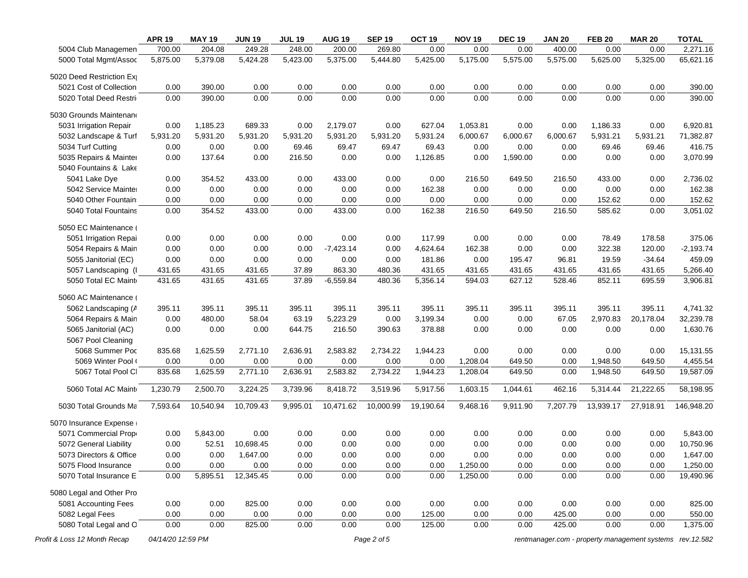|                              | <b>APR 19</b>     | <b>MAY 19</b> | <b>JUN 19</b> | <b>JUL 19</b> | <b>AUG 19</b> | <b>SEP 19</b> | OCT <sub>19</sub>     | <b>NOV 19</b> | <b>DEC 19</b> | <b>JAN 20</b> | <b>FEB 20</b> | <b>MAR 20</b>                                            | <b>TOTAL</b> |
|------------------------------|-------------------|---------------|---------------|---------------|---------------|---------------|-----------------------|---------------|---------------|---------------|---------------|----------------------------------------------------------|--------------|
| 5004 Club Managemen          | 700.00            | 204.08        | 249.28        | 248.00        | 200.00        | 269.80        | 0.00                  | 0.00          | 0.00          | 400.00        | 0.00          | 0.00                                                     | 2,271.16     |
| 5000 Total Mgmt/Assoc        | 5,875.00          | 5,379.08      | 5,424.28      | 5,423.00      | 5,375.00      | 5,444.80      | $\overline{5,}425.00$ | 5,175.00      | 5,575.00      | 5,575.00      | 5,625.00      | 5,325.00                                                 | 65,621.16    |
| 5020 Deed Restriction Exp    |                   |               |               |               |               |               |                       |               |               |               |               |                                                          |              |
| 5021 Cost of Collection      | 0.00              | 390.00        | 0.00          | 0.00          | 0.00          | 0.00          | 0.00                  | 0.00          | 0.00          | 0.00          | 0.00          | 0.00                                                     | 390.00       |
| 5020 Total Deed Restri       | 0.00              | 390.00        | 0.00          | 0.00          | 0.00          | 0.00          | 0.00                  | 0.00          | 0.00          | 0.00          | 0.00          | 0.00                                                     | 390.00       |
| 5030 Grounds Maintenand      |                   |               |               |               |               |               |                       |               |               |               |               |                                                          |              |
| 5031 Irrigation Repair       | 0.00              | 1,185.23      | 689.33        | 0.00          | 2,179.07      | 0.00          | 627.04                | 1,053.81      | 0.00          | 0.00          | 1,186.33      | 0.00                                                     | 6,920.81     |
| 5032 Landscape & Turf        | 5,931.20          | 5,931.20      | 5,931.20      | 5,931.20      | 5,931.20      | 5,931.20      | 5,931.24              | 6,000.67      | 6,000.67      | 6,000.67      | 5,931.21      | 5,931.21                                                 | 71,382.87    |
| 5034 Turf Cutting            | 0.00              | 0.00          | 0.00          | 69.46         | 69.47         | 69.47         | 69.43                 | 0.00          | 0.00          | 0.00          | 69.46         | 69.46                                                    | 416.75       |
| 5035 Repairs & Mainter       | 0.00              | 137.64        | 0.00          | 216.50        | 0.00          | 0.00          | 1,126.85              | 0.00          | 1,590.00      | 0.00          | 0.00          | 0.00                                                     | 3,070.99     |
| 5040 Fountains & Lake        |                   |               |               |               |               |               |                       |               |               |               |               |                                                          |              |
| 5041 Lake Dye                | 0.00              | 354.52        | 433.00        | 0.00          | 433.00        | 0.00          | 0.00                  | 216.50        | 649.50        | 216.50        | 433.00        | 0.00                                                     | 2,736.02     |
| 5042 Service Mainter         | 0.00              | 0.00          | 0.00          | 0.00          | 0.00          | 0.00          | 162.38                | 0.00          | 0.00          | 0.00          | 0.00          | 0.00                                                     | 162.38       |
| 5040 Other Fountain:         | 0.00              | 0.00          | 0.00          | 0.00          | 0.00          | 0.00          | 0.00                  | 0.00          | 0.00          | 0.00          | 152.62        | 0.00                                                     | 152.62       |
| 5040 Total Fountains         | 0.00              | 354.52        | 433.00        | 0.00          | 433.00        | 0.00          | 162.38                | 216.50        | 649.50        | 216.50        | 585.62        | 0.00                                                     | 3,051.02     |
| 5050 EC Maintenance (        |                   |               |               |               |               |               |                       |               |               |               |               |                                                          |              |
| 5051 Irrigation Repai        | 0.00              | 0.00          | 0.00          | 0.00          | 0.00          | 0.00          | 117.99                | 0.00          | 0.00          | 0.00          | 78.49         | 178.58                                                   | 375.06       |
| 5054 Repairs & Main          | 0.00              | 0.00          | 0.00          | 0.00          | $-7,423.14$   | 0.00          | 4,624.64              | 162.38        | 0.00          | 0.00          | 322.38        | 120.00                                                   | $-2,193.74$  |
| 5055 Janitorial (EC)         | 0.00              | 0.00          | 0.00          | 0.00          | 0.00          | 0.00          | 181.86                | 0.00          | 195.47        | 96.81         | 19.59         | $-34.64$                                                 | 459.09       |
| 5057 Landscaping (I          | 431.65            | 431.65        | 431.65        | 37.89         | 863.30        | 480.36        | 431.65                | 431.65        | 431.65        | 431.65        | 431.65        | 431.65                                                   | 5,266.40     |
| 5050 Total EC Maint          | 431.65            | 431.65        | 431.65        | 37.89         | $-6,559.84$   | 480.36        | 5,356.14              | 594.03        | 627.12        | 528.46        | 852.11        | 695.59                                                   | 3,906.81     |
| 5060 AC Maintenance (        |                   |               |               |               |               |               |                       |               |               |               |               |                                                          |              |
| 5062 Landscaping (A          | 395.11            | 395.11        | 395.11        | 395.11        | 395.11        | 395.11        | 395.11                | 395.11        | 395.11        | 395.11        | 395.11        | 395.11                                                   | 4,741.32     |
| 5064 Repairs & Main          | 0.00              | 480.00        | 58.04         | 63.19         | 5,223.29      | 0.00          | 3,199.34              | 0.00          | 0.00          | 67.05         | 2,970.83      | 20,178.04                                                | 32,239.78    |
| 5065 Janitorial (AC)         | 0.00              | 0.00          | 0.00          | 644.75        | 216.50        | 390.63        | 378.88                | 0.00          | 0.00          | 0.00          | 0.00          | 0.00                                                     | 1,630.76     |
| 5067 Pool Cleaning           |                   |               |               |               |               |               |                       |               |               |               |               |                                                          |              |
| 5068 Summer Poc              | 835.68            | 1,625.59      | 2,771.10      | 2,636.91      | 2,583.82      | 2,734.22      | 1,944.23              | 0.00          | 0.00          | 0.00          | 0.00          | 0.00                                                     | 15,131.55    |
| 5069 Winter Pool (           | 0.00              | 0.00          | 0.00          | 0.00          | 0.00          | 0.00          | 0.00                  | 1,208.04      | 649.50        | 0.00          | 1,948.50      | 649.50                                                   | 4,455.54     |
| 5067 Total Pool Cl           | 835.68            | 1,625.59      | 2,771.10      | 2,636.91      | 2,583.82      | 2,734.22      | 1,944.23              | 1,208.04      | 649.50        | 0.00          | 1,948.50      | 649.50                                                   | 19,587.09    |
| 5060 Total AC Maint          | 1,230.79          | 2,500.70      | 3,224.25      | 3,739.96      | 8,418.72      | 3,519.96      | 5,917.56              | 1,603.15      | 1,044.61      | 462.16        | 5,314.44      | 21,222.65                                                | 58,198.95    |
| 5030 Total Grounds Ma        | 7,593.64          | 10,540.94     | 10,709.43     | 9,995.01      | 10,471.62     | 10,000.99     | 19,190.64             | 9,468.16      | 9,911.90      | 7,207.79      | 13,939.17     | 27,918.91                                                | 146,948.20   |
| 5070 Insurance Expense       |                   |               |               |               |               |               |                       |               |               |               |               |                                                          |              |
| 5071 Commercial Propi        | 0.00              | 5,843.00      | 0.00          | 0.00          | 0.00          | 0.00          | 0.00                  | 0.00          | 0.00          | 0.00          | 0.00          | 0.00                                                     | 5,843.00     |
| 5072 General Liability       | 0.00              | 52.51         | 10,698.45     | 0.00          | 0.00          | 0.00          | 0.00                  | 0.00          | 0.00          | 0.00          | 0.00          | 0.00                                                     | 10,750.96    |
| 5073 Directors & Office      | 0.00              | 0.00          | 1,647.00      | 0.00          | 0.00          | 0.00          | 0.00                  | 0.00          | 0.00          | 0.00          | 0.00          | 0.00                                                     | 1,647.00     |
| 5075 Flood Insurance         | 0.00              | 0.00          | 0.00          | 0.00          | 0.00          | 0.00          | 0.00                  | 1,250.00      | 0.00          | 0.00          | 0.00          | 0.00                                                     | 1,250.00     |
| 5070 Total Insurance E       | 0.00              | 5,895.51      | 12,345.45     | 0.00          | 0.00          | 0.00          | 0.00                  | 1,250.00      | 0.00          | 0.00          | 0.00          | 0.00                                                     | 19,490.96    |
| 5080 Legal and Other Pro     |                   |               |               |               |               |               |                       |               |               |               |               |                                                          |              |
| 5081 Accounting Fees         | 0.00              | 0.00          | 825.00        | 0.00          | 0.00          | 0.00          | 0.00                  | 0.00          | 0.00          | 0.00          | 0.00          | 0.00                                                     | 825.00       |
| 5082 Legal Fees              | 0.00              | 0.00          | 0.00          | 0.00          | 0.00          | 0.00          | 125.00                | 0.00          | 0.00          | 425.00        | 0.00          | 0.00                                                     | 550.00       |
| 5080 Total Legal and O       | 0.00              | 0.00          | 825.00        | 0.00          | 0.00          | 0.00          | 125.00                | 0.00          | 0.00          | 425.00        | 0.00          | 0.00                                                     | 1,375.00     |
| Profit & Loss 12 Month Recap | 04/14/20 12:59 PM |               |               |               |               | Page 2 of 5   |                       |               |               |               |               | rentmanager.com - property management systems rev.12.582 |              |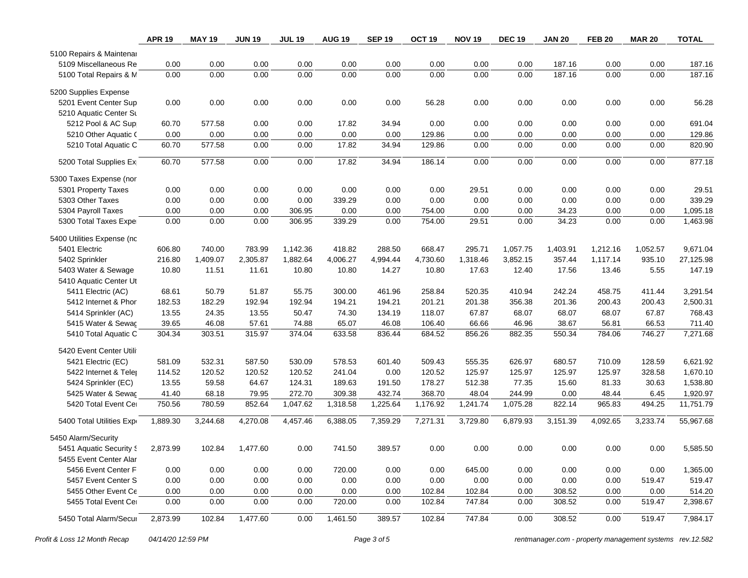|                            | <b>APR 19</b> | <b>MAY 19</b> | <b>JUN 19</b> | <b>JUL 19</b> | <b>AUG 19</b> | <b>SEP 19</b> | OCT <sub>19</sub> | <b>NOV 19</b> | <b>DEC 19</b> | <b>JAN 20</b> | <b>FEB 20</b> | <b>MAR 20</b> | <b>TOTAL</b> |
|----------------------------|---------------|---------------|---------------|---------------|---------------|---------------|-------------------|---------------|---------------|---------------|---------------|---------------|--------------|
| 5100 Repairs & Maintenar   |               |               |               |               |               |               |                   |               |               |               |               |               |              |
| 5109 Miscellaneous Re      | 0.00          | 0.00          | 0.00          | 0.00          | 0.00          | 0.00          | 0.00              | 0.00          | 0.00          | 187.16        | 0.00          | 0.00          | 187.16       |
| 5100 Total Repairs & M     | 0.00          | 0.00          | 0.00          | 0.00          | 0.00          | 0.00          | 0.00              | 0.00          | 0.00          | 187.16        | 0.00          | 0.00          | 187.16       |
| 5200 Supplies Expense      |               |               |               |               |               |               |                   |               |               |               |               |               |              |
| 5201 Event Center Sup      | 0.00          | 0.00          | 0.00          | 0.00          | 0.00          | 0.00          | 56.28             | 0.00          | 0.00          | 0.00          | 0.00          | 0.00          | 56.28        |
| 5210 Aquatic Center St     |               |               |               |               |               |               |                   |               |               |               |               |               |              |
| 5212 Pool & AC Sup         | 60.70         | 577.58        | 0.00          | 0.00          | 17.82         | 34.94         | 0.00              | 0.00          | 0.00          | 0.00          | 0.00          | 0.00          | 691.04       |
| 5210 Other Aquatic (       | 0.00          | 0.00          | 0.00          | 0.00          | 0.00          | 0.00          | 129.86            | 0.00          | 0.00          | 0.00          | 0.00          | 0.00          | 129.86       |
| 5210 Total Aquatic C       | 60.70         | 577.58        | 0.00          | 0.00          | 17.82         | 34.94         | 129.86            | 0.00          | 0.00          | 0.00          | 0.00          | 0.00          | 820.90       |
| 5200 Total Supplies Ex     | 60.70         | 577.58        | 0.00          | 0.00          | 17.82         | 34.94         | 186.14            | 0.00          | 0.00          | 0.00          | 0.00          | 0.00          | 877.18       |
| 5300 Taxes Expense (nor    |               |               |               |               |               |               |                   |               |               |               |               |               |              |
| 5301 Property Taxes        | 0.00          | 0.00          | 0.00          | 0.00          | 0.00          | 0.00          | 0.00              | 29.51         | 0.00          | 0.00          | 0.00          | 0.00          | 29.51        |
| 5303 Other Taxes           | 0.00          | 0.00          | 0.00          | 0.00          | 339.29        | 0.00          | 0.00              | 0.00          | 0.00          | 0.00          | 0.00          | 0.00          | 339.29       |
| 5304 Payroll Taxes         | 0.00          | 0.00          | 0.00          | 306.95        | 0.00          | 0.00          | 754.00            | 0.00          | 0.00          | 34.23         | 0.00          | 0.00          | 1,095.18     |
| 5300 Total Taxes Expe      | 0.00          | 0.00          | 0.00          | 306.95        | 339.29        | 0.00          | 754.00            | 29.51         | 0.00          | 34.23         | 0.00          | 0.00          | 1,463.98     |
| 5400 Utilities Expense (nc |               |               |               |               |               |               |                   |               |               |               |               |               |              |
| 5401 Electric              | 606.80        | 740.00        | 783.99        | 1,142.36      | 418.82        | 288.50        | 668.47            | 295.71        | 1,057.75      | 1,403.91      | 1,212.16      | 1,052.57      | 9,671.04     |
| 5402 Sprinkler             | 216.80        | 1,409.07      | 2,305.87      | 1,882.64      | 4,006.27      | 4,994.44      | 4,730.60          | 1,318.46      | 3,852.15      | 357.44        | 1,117.14      | 935.10        | 27,125.98    |
| 5403 Water & Sewage        | 10.80         | 11.51         | 11.61         | 10.80         | 10.80         | 14.27         | 10.80             | 17.63         | 12.40         | 17.56         | 13.46         | 5.55          | 147.19       |
| 5410 Aquatic Center Ut     |               |               |               |               |               |               |                   |               |               |               |               |               |              |
| 5411 Electric (AC)         | 68.61         | 50.79         | 51.87         | 55.75         | 300.00        | 461.96        | 258.84            | 520.35        | 410.94        | 242.24        | 458.75        | 411.44        | 3,291.54     |
| 5412 Internet & Phor       | 182.53        | 182.29        | 192.94        | 192.94        | 194.21        | 194.21        | 201.21            | 201.38        | 356.38        | 201.36        | 200.43        | 200.43        | 2,500.31     |
| 5414 Sprinkler (AC)        | 13.55         | 24.35         | 13.55         | 50.47         | 74.30         | 134.19        | 118.07            | 67.87         | 68.07         | 68.07         | 68.07         | 67.87         | 768.43       |
| 5415 Water & Sewaç         | 39.65         | 46.08         | 57.61         | 74.88         | 65.07         | 46.08         | 106.40            | 66.66         | 46.96         | 38.67         | 56.81         | 66.53         | 711.40       |
| 5410 Total Aquatic C       | 304.34        | 303.51        | 315.97        | 374.04        | 633.58        | 836.44        | 684.52            | 856.26        | 882.35        | 550.34        | 784.06        | 746.27        | 7,271.68     |
| 5420 Event Center Utili    |               |               |               |               |               |               |                   |               |               |               |               |               |              |
| 5421 Electric (EC)         | 581.09        | 532.31        | 587.50        | 530.09        | 578.53        | 601.40        | 509.43            | 555.35        | 626.97        | 680.57        | 710.09        | 128.59        | 6,621.92     |
| 5422 Internet & Teler      | 114.52        | 120.52        | 120.52        | 120.52        | 241.04        | 0.00          | 120.52            | 125.97        | 125.97        | 125.97        | 125.97        | 328.58        | 1,670.10     |
| 5424 Sprinkler (EC)        | 13.55         | 59.58         | 64.67         | 124.31        | 189.63        | 191.50        | 178.27            | 512.38        | 77.35         | 15.60         | 81.33         | 30.63         | 1,538.80     |
| 5425 Water & Sewaç         | 41.40         | 68.18         | 79.95         | 272.70        | 309.38        | 432.74        | 368.70            | 48.04         | 244.99        | 0.00          | 48.44         | 6.45          | 1,920.97     |
| 5420 Total Event Cer       | 750.56        | 780.59        | 852.64        | 1,047.62      | 1,318.58      | 1,225.64      | 1,176.92          | 1,241.74      | 1,075.28      | 822.14        | 965.83        | 494.25        | 11,751.79    |
| 5400 Total Utilities Expr  | 1,889.30      | 3,244.68      | 4,270.08      | 4,457.46      | 6,388.05      | 7,359.29      | 7,271.31          | 3,729.80      | 6,879.93      | 3,151.39      | 4,092.65      | 3,233.74      | 55,967.68    |
| 5450 Alarm/Security        |               |               |               |               |               |               |                   |               |               |               |               |               |              |
| 5451 Aquatic Security S    | 2,873.99      | 102.84        | 1,477.60      | 0.00          | 741.50        | 389.57        | 0.00              | 0.00          | 0.00          | 0.00          | 0.00          | 0.00          | 5,585.50     |
| 5455 Event Center Alar     |               |               |               |               |               |               |                   |               |               |               |               |               |              |
| 5456 Event Center F        | 0.00          | 0.00          | 0.00          | 0.00          | 720.00        | 0.00          | 0.00              | 645.00        | 0.00          | 0.00          | 0.00          | 0.00          | 1,365.00     |
| 5457 Event Center S        | 0.00          | 0.00          | 0.00          | 0.00          | 0.00          | 0.00          | 0.00              | 0.00          | 0.00          | 0.00          | 0.00          | 519.47        | 519.47       |
| 5455 Other Event Ce        | 0.00          | 0.00          | 0.00          | 0.00          | 0.00          | 0.00          | 102.84            | 102.84        | 0.00          | 308.52        | 0.00          | 0.00          | 514.20       |
| 5455 Total Event Cer       | 0.00          | 0.00          | 0.00          | 0.00          | 720.00        | 0.00          | 102.84            | 747.84        | 0.00          | 308.52        | 0.00          | 519.47        | 2,398.67     |
| 5450 Total Alarm/Secur     | 2,873.99      | 102.84        | 1,477.60      | 0.00          | 1,461.50      | 389.57        | 102.84            | 747.84        | 0.00          | 308.52        | 0.00          | 519.47        | 7,984.17     |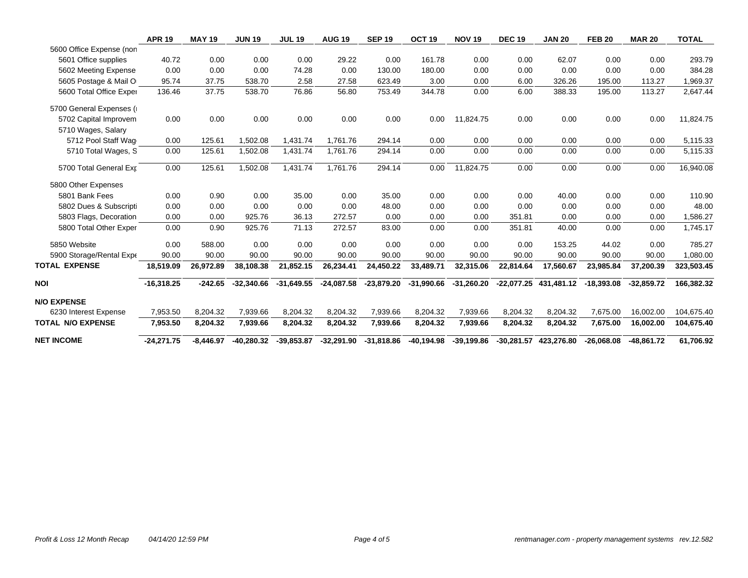|                          | <b>APR 19</b> | <b>MAY 19</b> | <b>JUN 19</b> | <b>JUL 19</b> | <b>AUG 19</b> | <b>SEP 19</b> | OCT <sub>19</sub>     | <b>NOV 19</b> | <b>DEC 19</b> | <b>JAN 20</b>         | <b>FEB 20</b> | <b>MAR 20</b> | <b>TOTAL</b> |
|--------------------------|---------------|---------------|---------------|---------------|---------------|---------------|-----------------------|---------------|---------------|-----------------------|---------------|---------------|--------------|
| 5600 Office Expense (non |               |               |               |               |               |               |                       |               |               |                       |               |               |              |
| 5601 Office supplies     | 40.72         | 0.00          | 0.00          | 0.00          | 29.22         | 0.00          | 161.78                | 0.00          | 0.00          | 62.07                 | 0.00          | 0.00          | 293.79       |
| 5602 Meeting Expense     | 0.00          | 0.00          | 0.00          | 74.28         | 0.00          | 130.00        | 180.00                | 0.00          | 0.00          | 0.00                  | 0.00          | 0.00          | 384.28       |
| 5605 Postage & Mail O    | 95.74         | 37.75         | 538.70        | 2.58          | 27.58         | 623.49        | 3.00                  | 0.00          | 6.00          | 326.26                | 195.00        | 113.27        | 1,969.37     |
| 5600 Total Office Exper  | 136.46        | 37.75         | 538.70        | 76.86         | 56.80         | 753.49        | 344.78                | 0.00          | 6.00          | 388.33                | 195.00        | 113.27        | 2,647.44     |
| 5700 General Expenses (  |               |               |               |               |               |               |                       |               |               |                       |               |               |              |
| 5702 Capital Improvem    | 0.00          | 0.00          | 0.00          | 0.00          | 0.00          | 0.00          | 0.00                  | 11,824.75     | 0.00          | 0.00                  | 0.00          | 0.00          | 11,824.75    |
| 5710 Wages, Salary       |               |               |               |               |               |               |                       |               |               |                       |               |               |              |
| 5712 Pool Staff Wag      | 0.00          | 125.61        | 1,502.08      | 1,431.74      | 1,761.76      | 294.14        | 0.00                  | 0.00          | 0.00          | 0.00                  | 0.00          | 0.00          | 5,115.33     |
| 5710 Total Wages, S      | 0.00          | 125.61        | 1,502.08      | 1,431.74      | 1,761.76      | 294.14        | 0.00                  | 0.00          | 0.00          | 0.00                  | 0.00          | 0.00          | 5,115.33     |
| 5700 Total General Exp   | 0.00          | 125.61        | 1,502.08      | 1,431.74      | 1,761.76      | 294.14        | 0.00                  | 11,824.75     | 0.00          | 0.00                  | 0.00          | 0.00          | 16,940.08    |
| 5800 Other Expenses      |               |               |               |               |               |               |                       |               |               |                       |               |               |              |
| 5801 Bank Fees           | 0.00          | 0.90          | 0.00          | 35.00         | 0.00          | 35.00         | 0.00                  | 0.00          | 0.00          | 40.00                 | 0.00          | 0.00          | 110.90       |
| 5802 Dues & Subscripti   | 0.00          | 0.00          | 0.00          | 0.00          | 0.00          | 48.00         | 0.00                  | 0.00          | 0.00          | 0.00                  | 0.00          | 0.00          | 48.00        |
| 5803 Flags, Decoration   | 0.00          | 0.00          | 925.76        | 36.13         | 272.57        | 0.00          | 0.00                  | 0.00          | 351.81        | 0.00                  | 0.00          | 0.00          | 1,586.27     |
| 5800 Total Other Exper   | 0.00          | 0.90          | 925.76        | 71.13         | 272.57        | 83.00         | 0.00                  | 0.00          | 351.81        | 40.00                 | 0.00          | 0.00          | 1,745.17     |
| 5850 Website             | 0.00          | 588.00        | 0.00          | 0.00          | 0.00          | 0.00          | 0.00                  | 0.00          | 0.00          | 153.25                | 44.02         | 0.00          | 785.27       |
| 5900 Storage/Rental Expe | 90.00         | 90.00         | 90.00         | 90.00         | 90.00         | 90.00         | 90.00                 | 90.00         | 90.00         | 90.00                 | 90.00         | 90.00         | 1,080.00     |
| <b>TOTAL EXPENSE</b>     | 18,519.09     | 26,972.89     | 38,108.38     | 21,852.15     | 26,234.41     | 24,450.22     | 33,489.71             | 32,315.06     | 22,814.64     | 17,560.67             | 23,985.84     | 37,200.39     | 323,503.45   |
| <b>NOI</b>               | $-16,318.25$  | $-242.65$     | $-32,340.66$  | $-31,649.55$  | -24,087.58    | -23,879.20    | -31,990.66 -31,260.20 |               |               | -22,077.25 431,481.12 | $-18,393.08$  | $-32,859.72$  | 166,382.32   |
| <b>N/O EXPENSE</b>       |               |               |               |               |               |               |                       |               |               |                       |               |               |              |
| 6230 Interest Expense    | 7.953.50      | 8,204.32      | 7.939.66      | 8,204.32      | 8.204.32      | 7.939.66      | 8,204.32              | 7.939.66      | 8,204.32      | 8.204.32              | 7.675.00      | 16,002.00     | 104,675.40   |
| <b>TOTAL N/O EXPENSE</b> | 7,953.50      | 8,204.32      | 7,939.66      | 8,204.32      | 8,204.32      | 7,939.66      | 8,204.32              | 7,939.66      | 8,204.32      | 8,204.32              | 7,675.00      | 16,002.00     | 104,675.40   |
| <b>NET INCOME</b>        | $-24,271.75$  | $-8,446.97$   | $-40,280.32$  | $-39,853.87$  | $-32,291.90$  | $-31,818.86$  | $-40,194.98$          | $-39,199.86$  |               | -30,281.57 423,276.80 | $-26,068.08$  | -48,861.72    | 61,706.92    |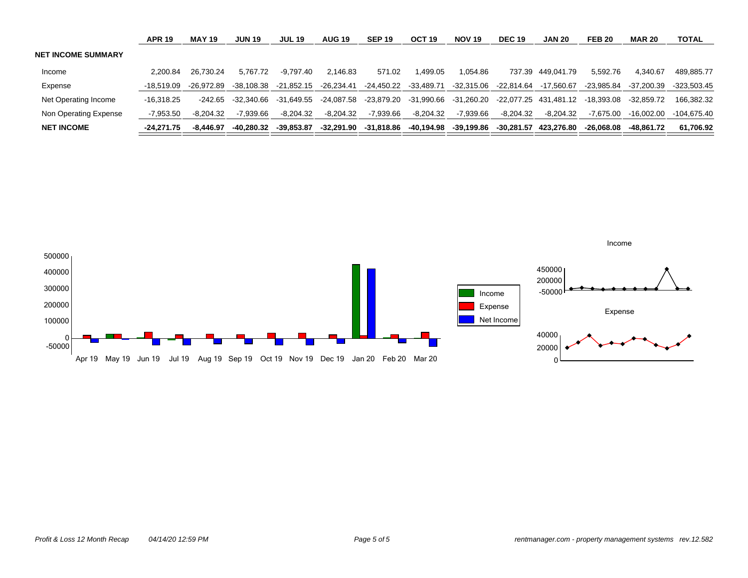|                           | <b>APR 19</b> | <b>MAY 19</b> | <b>JUN 19</b> | <b>JUL 19</b> | <b>AUG 19</b> | <b>SEP 19</b> | OCT <sub>19</sub>     | <b>NOV 19</b> | <b>DEC 19</b> | <b>JAN 20</b>         | <b>FEB 20</b> | <b>MAR 20</b> | <b>TOTAL</b>  |
|---------------------------|---------------|---------------|---------------|---------------|---------------|---------------|-----------------------|---------------|---------------|-----------------------|---------------|---------------|---------------|
| <b>NET INCOME SUMMARY</b> |               |               |               |               |               |               |                       |               |               |                       |               |               |               |
| Income                    | 2.200.84      | 26.730.24     | 5.767.72      | -9.797.40     | 2.146.83      | 571.02        | 1.499.05              | 1.054.86      |               | 737.39 449.041.79     | 5.592.76      | 4.340.67      | 489.885.77    |
| Expense                   | -18.519.09    | -26.972.89    | -38.108.38    | -21.852.15    | -26.234.41    |               | -24,450.22 -33,489.71 | -32,315.06    | -22.814.64    | -17.560.67            | -23.985.84    | -37.200.39    | $-323.503.45$ |
| Net Operating Income      | -16.318.25    | -242.65       | -32.340.66    | -31.649.55    | -24.087.58    | -23.879.20    | -31.990.66            | -31.260.20    |               | -22.077.25 431.481.12 | -18.393.08    | $-32.859.72$  | 166.382.32    |
| Non Operating Expense     | -7.953.50     | $-8.204.32$   | $-7.939.66$   | $-8.204.32$   | $-8.204.32$   | -7.939.66     | -8.204.32             | -7.939.66     | $-8.204.32$   | $-8.204.32$           | $-7.675.00$   | $-16.002.00$  | -104.675.40   |
| <b>NET INCOME</b>         | -24.271.75    | -8.446.97     | -40.280.32    | -39.853.87    | -32.291.90    | -31.818.86    | -40,194.98            | -39.199.86    |               | -30.281.57 423.276.80 | -26.068.08    | -48.861.72    | 61.706.92     |

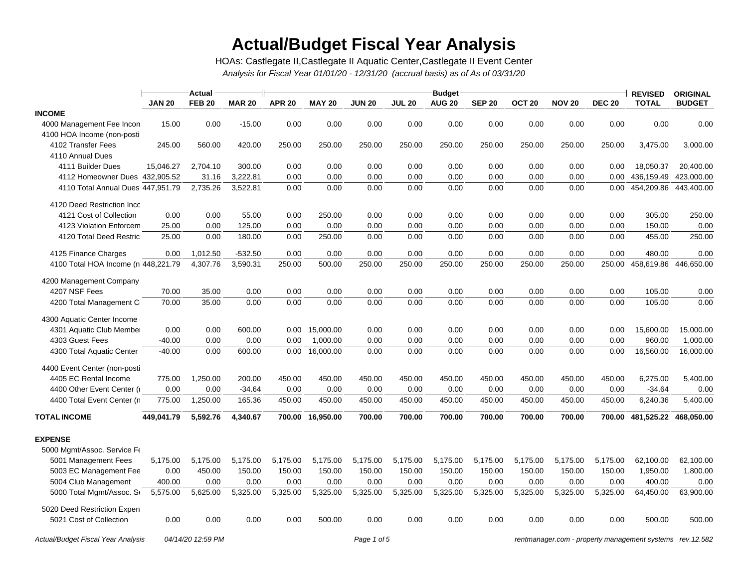# **Actual/Budget Fiscal Year Analysis**

*Analysis for Fiscal Year 01/01/20 - 12/31/20 (accrual basis) as of As of 03/31/20* HOAs: Castlegate II,Castlegate II Aquatic Center,Castlegate II Event Center

|                                     |               | <b>Actual</b> |               | <b>Budget</b> |                  |               |               |               |               |                   |               |               |              | <b>ORIGINAL</b> |
|-------------------------------------|---------------|---------------|---------------|---------------|------------------|---------------|---------------|---------------|---------------|-------------------|---------------|---------------|--------------|-----------------|
|                                     | <b>JAN 20</b> | <b>FEB 20</b> | <b>MAR 20</b> | <b>APR 20</b> | <b>MAY 20</b>    | <b>JUN 20</b> | <b>JUL 20</b> | <b>AUG 20</b> | <b>SEP 20</b> | OCT <sub>20</sub> | <b>NOV 20</b> | <b>DEC 20</b> | <b>TOTAL</b> | <b>BUDGET</b>   |
| <b>INCOME</b>                       |               |               |               |               |                  |               |               |               |               |                   |               |               |              |                 |
| 4000 Management Fee Incon           | 15.00         | 0.00          | $-15.00$      | 0.00          | 0.00             | 0.00          | 0.00          | 0.00          | 0.00          | 0.00              | 0.00          | 0.00          | 0.00         | 0.00            |
| 4100 HOA Income (non-postil         |               |               |               |               |                  |               |               |               |               |                   |               |               |              |                 |
| 4102 Transfer Fees                  | 245.00        | 560.00        | 420.00        | 250.00        | 250.00           | 250.00        | 250.00        | 250.00        | 250.00        | 250.00            | 250.00        | 250.00        | 3,475.00     | 3,000.00        |
| 4110 Annual Dues                    |               |               |               |               |                  |               |               |               |               |                   |               |               |              |                 |
| 4111 Builder Dues                   | 15,046.27     | 2,704.10      | 300.00        | 0.00          | 0.00             | 0.00          | 0.00          | 0.00          | 0.00          | 0.00              | 0.00          | 0.00          | 18,050.37    | 20,400.00       |
| 4112 Homeowner Dues 432,905.52      |               | 31.16         | 3,222.81      | 0.00          | 0.00             | 0.00          | 0.00          | 0.00          | 0.00          | 0.00              | 0.00          | 0.00          | 436,159.49   | 423,000.00      |
| 4110 Total Annual Dues 447,951.79   |               | 2,735.26      | 3,522.81      | 0.00          | 0.00             | 0.00          | 0.00          | 0.00          | 0.00          | 0.00              | 0.00          | 0.00          | 454,209.86   | 443,400.00      |
| 4120 Deed Restriction Inco          |               |               |               |               |                  |               |               |               |               |                   |               |               |              |                 |
| 4121 Cost of Collection             | 0.00          | 0.00          | 55.00         | 0.00          | 250.00           | 0.00          | 0.00          | 0.00          | 0.00          | 0.00              | 0.00          | 0.00          | 305.00       | 250.00          |
| 4123 Violation Enforcem             | 25.00         | 0.00          | 125.00        | 0.00          | 0.00             | 0.00          | 0.00          | 0.00          | 0.00          | 0.00              | 0.00          | 0.00          | 150.00       | 0.00            |
| 4120 Total Deed Restric             | 25.00         | 0.00          | 180.00        | 0.00          | 250.00           | 0.00          | 0.00          | 0.00          | 0.00          | 0.00              | 0.00          | 0.00          | 455.00       | 250.00          |
| 4125 Finance Charges                | 0.00          | 1,012.50      | $-532.50$     | 0.00          | 0.00             | 0.00          | 0.00          | 0.00          | 0.00          | 0.00              | 0.00          | 0.00          | 480.00       | 0.00            |
| 4100 Total HOA Income (n 448,221.79 |               | 4,307.76      | 3,590.31      | 250.00        | 500.00           | 250.00        | 250.00        | 250.00        | 250.00        | 250.00            | 250.00        | 250.00        | 458,619.86   | 446,650.00      |
| 4200 Management Company             |               |               |               |               |                  |               |               |               |               |                   |               |               |              |                 |
| 4207 NSF Fees                       | 70.00         | 35.00         | 0.00          | 0.00          | 0.00             | 0.00          | 0.00          | 0.00          | 0.00          | 0.00              | 0.00          | 0.00          | 105.00       | 0.00            |
| 4200 Total Management C             | 70.00         | 35.00         | 0.00          | 0.00          | 0.00             | 0.00          | 0.00          | 0.00          | 0.00          | 0.00              | 0.00          | 0.00          | 105.00       | 0.00            |
| 4300 Aquatic Center Income          |               |               |               |               |                  |               |               |               |               |                   |               |               |              |                 |
| 4301 Aquatic Club Member            | 0.00          | 0.00          | 600.00        | 0.00          | 15,000.00        | 0.00          | 0.00          | 0.00          | 0.00          | 0.00              | 0.00          | 0.00          | 15,600.00    | 15,000.00       |
| 4303 Guest Fees                     | $-40.00$      | 0.00          | 0.00          | 0.00          | 1,000.00         | 0.00          | 0.00          | 0.00          | 0.00          | 0.00              | 0.00          | 0.00          | 960.00       | 1,000.00        |
| 4300 Total Aquatic Center           | $-40.00$      | 0.00          | 600.00        | 0.00          | 16,000.00        | 0.00          | 0.00          | 0.00          | 0.00          | 0.00              | 0.00          | 0.00          | 16,560.00    | 16,000.00       |
| 4400 Event Center (non-posti        |               |               |               |               |                  |               |               |               |               |                   |               |               |              |                 |
| 4405 EC Rental Income               | 775.00        | 1,250.00      | 200.00        | 450.00        | 450.00           | 450.00        | 450.00        | 450.00        | 450.00        | 450.00            | 450.00        | 450.00        | 6,275.00     | 5,400.00        |
| 4400 Other Event Center (r          | 0.00          | 0.00          | $-34.64$      | 0.00          | 0.00             | 0.00          | 0.00          | 0.00          | 0.00          | 0.00              | 0.00          | 0.00          | $-34.64$     | 0.00            |
| 4400 Total Event Center (n          | 775.00        | 1,250.00      | 165.36        | 450.00        | 450.00           | 450.00        | 450.00        | 450.00        | 450.00        | 450.00            | 450.00        | 450.00        | 6,240.36     | 5,400.00        |
| <b>TOTAL INCOME</b>                 | 449,041.79    | 5,592.76      | 4,340.67      |               | 700.00 16,950.00 | 700.00        | 700.00        | 700.00        | 700.00        | 700.00            | 700.00        | 700.00        | 481,525.22   | 468,050.00      |
| <b>EXPENSE</b>                      |               |               |               |               |                  |               |               |               |               |                   |               |               |              |                 |
| 5000 Mgmt/Assoc. Service Fe         |               |               |               |               |                  |               |               |               |               |                   |               |               |              |                 |
| 5001 Management Fees                | 5,175.00      | 5,175.00      | 5,175.00      | 5,175.00      | 5,175.00         | 5,175.00      | 5,175.00      | 5,175.00      | 5,175.00      | 5,175.00          | 5,175.00      | 5,175.00      | 62,100.00    | 62,100.00       |
| 5003 EC Management Fee              | 0.00          | 450.00        | 150.00        | 150.00        | 150.00           | 150.00        | 150.00        | 150.00        | 150.00        | 150.00            | 150.00        | 150.00        | 1,950.00     | 1,800.00        |
| 5004 Club Management                | 400.00        | 0.00          | 0.00          | 0.00          | 0.00             | 0.00          | 0.00          | 0.00          | 0.00          | 0.00              | 0.00          | 0.00          | 400.00       | 0.00            |
| 5000 Total Mgmt/Assoc. Se           | 5,575.00      | 5,625.00      | 5,325.00      | 5,325.00      | 5,325.00         | 5,325.00      | 5,325.00      | 5,325.00      | 5,325.00      | 5,325.00          | 5,325.00      | 5,325.00      | 64,450.00    | 63,900.00       |
| 5020 Deed Restriction Expen         |               |               |               |               |                  |               |               |               |               |                   |               |               |              |                 |
| 5021 Cost of Collection             | 0.00          | 0.00          | 0.00          | 0.00          | 500.00           | 0.00          | 0.00          | 0.00          | 0.00          | 0.00              | 0.00          | 0.00          | 500.00       | 500.00          |

*Actual/Budget Fiscal Year Analysis 04/14/20 12:59 PM Page 1 of 5 [rentmanager.com - property management systems rev.12.582](http://www.rentmanager.com)*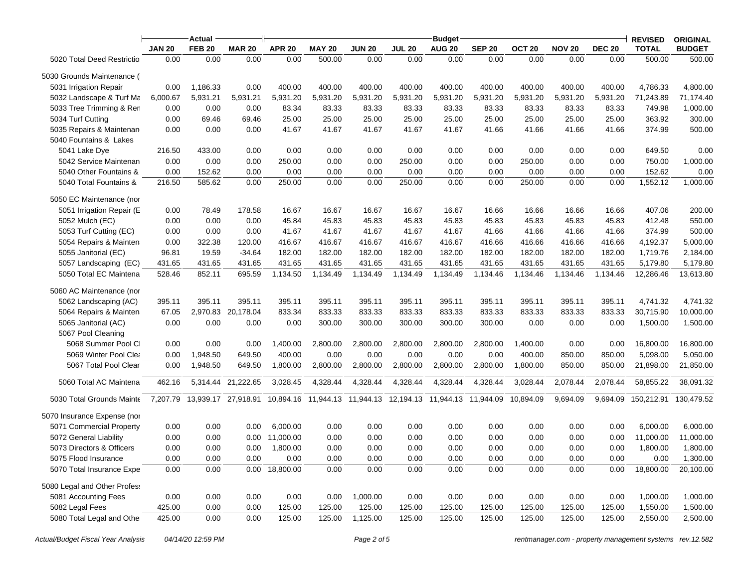|                              |               | Actual        |                     | <b>Budget</b>  |               |                                                       |               |               |               | <b>REVISED</b>    | <b>ORIGINAL</b> |               |              |               |
|------------------------------|---------------|---------------|---------------------|----------------|---------------|-------------------------------------------------------|---------------|---------------|---------------|-------------------|-----------------|---------------|--------------|---------------|
|                              | <b>JAN 20</b> | <b>FEB 20</b> | <b>MAR 20</b>       | <b>APR 20</b>  | <b>MAY 20</b> | <b>JUN 20</b>                                         | <b>JUL 20</b> | <b>AUG 20</b> | <b>SEP 20</b> | OCT <sub>20</sub> | <b>NOV 20</b>   | <b>DEC 20</b> | <b>TOTAL</b> | <b>BUDGET</b> |
| 5020 Total Deed Restriction  | 0.00          | 0.00          | 0.00                | 0.00           | 500.00        | 0.00                                                  | 0.00          | 0.00          | 0.00          | 0.00              | 0.00            | 0.00          | 500.00       | 500.00        |
| 5030 Grounds Maintenance (   |               |               |                     |                |               |                                                       |               |               |               |                   |                 |               |              |               |
| 5031 Irrigation Repair       | 0.00          | 1,186.33      | 0.00                | 400.00         | 400.00        | 400.00                                                | 400.00        | 400.00        | 400.00        | 400.00            | 400.00          | 400.00        | 4,786.33     | 4,800.00      |
| 5032 Landscape & Turf Ma     | 6,000.67      | 5,931.21      | 5,931.21            | 5,931.20       | 5,931.20      | 5,931.20                                              | 5,931.20      | 5,931.20      | 5,931.20      | 5,931.20          | 5,931.20        | 5,931.20      | 71,243.89    | 71,174.40     |
| 5033 Tree Trimming & Ren     | 0.00          | 0.00          | 0.00                | 83.34          | 83.33         | 83.33                                                 | 83.33         | 83.33         | 83.33         | 83.33             | 83.33           | 83.33         | 749.98       | 1,000.00      |
| 5034 Turf Cutting            | 0.00          | 69.46         | 69.46               | 25.00          | 25.00         | 25.00                                                 | 25.00         | 25.00         | 25.00         | 25.00             | 25.00           | 25.00         | 363.92       | 300.00        |
| 5035 Repairs & Maintenan     | 0.00          | 0.00          | 0.00                | 41.67          | 41.67         | 41.67                                                 | 41.67         | 41.67         | 41.66         | 41.66             | 41.66           | 41.66         | 374.99       | 500.00        |
| 5040 Fountains & Lakes       |               |               |                     |                |               |                                                       |               |               |               |                   |                 |               |              |               |
| 5041 Lake Dye                | 216.50        | 433.00        | 0.00                | 0.00           | 0.00          | 0.00                                                  | 0.00          | 0.00          | 0.00          | 0.00              | 0.00            | 0.00          | 649.50       | 0.00          |
| 5042 Service Maintenan       | 0.00          | 0.00          | 0.00                | 250.00         | 0.00          | 0.00                                                  | 250.00        | 0.00          | 0.00          | 250.00            | 0.00            | 0.00          | 750.00       | 1,000.00      |
| 5040 Other Fountains &       | 0.00          | 152.62        | 0.00                | 0.00           | 0.00          | 0.00                                                  | 0.00          | 0.00          | 0.00          | 0.00              | 0.00            | 0.00          | 152.62       | 0.00          |
| 5040 Total Fountains &       | 216.50        | 585.62        | 0.00                | 250.00         | 0.00          | 0.00                                                  | 250.00        | 0.00          | 0.00          | 250.00            | 0.00            | 0.00          | 1,552.12     | 1,000.00      |
| 5050 EC Maintenance (nor     |               |               |                     |                |               |                                                       |               |               |               |                   |                 |               |              |               |
| 5051 Irrigation Repair (E    | 0.00          | 78.49         | 178.58              | 16.67          | 16.67         | 16.67                                                 | 16.67         | 16.67         | 16.66         | 16.66             | 16.66           | 16.66         | 407.06       | 200.00        |
| 5052 Mulch (EC)              | 0.00          | 0.00          | 0.00                | 45.84          | 45.83         | 45.83                                                 | 45.83         | 45.83         | 45.83         | 45.83             | 45.83           | 45.83         | 412.48       | 550.00        |
| 5053 Turf Cutting (EC)       | 0.00          | 0.00          | 0.00                | 41.67          | 41.67         | 41.67                                                 | 41.67         | 41.67         | 41.66         | 41.66             | 41.66           | 41.66         | 374.99       | 500.00        |
| 5054 Repairs & Mainten       | 0.00          | 322.38        | 120.00              | 416.67         | 416.67        | 416.67                                                | 416.67        | 416.67        | 416.66        | 416.66            | 416.66          | 416.66        | 4,192.37     | 5,000.00      |
| 5055 Janitorial (EC)         | 96.81         | 19.59         | $-34.64$            | 182.00         | 182.00        | 182.00                                                | 182.00        | 182.00        | 182.00        | 182.00            | 182.00          | 182.00        | 1,719.76     | 2,184.00      |
| 5057 Landscaping (EC)        | 431.65        | 431.65        | 431.65              | 431.65         | 431.65        | 431.65                                                | 431.65        | 431.65        | 431.65        | 431.65            | 431.65          | 431.65        | 5,179.80     | 5,179.80      |
| 5050 Total EC Maintena       | 528.46        | 852.11        | 695.59              | 1,134.50       | 1,134.49      | 1,134.49                                              | 1,134.49      | 1,134.49      | 1,134.46      | 1,134.46          | 1,134.46        | 1,134.46      | 12,286.46    | 13,613.80     |
| 5060 AC Maintenance (nor     |               |               |                     |                |               |                                                       |               |               |               |                   |                 |               |              |               |
| 5062 Landscaping (AC)        | 395.11        | 395.11        | 395.11              | 395.11         | 395.11        | 395.11                                                | 395.11        | 395.11        | 395.11        | 395.11            | 395.11          | 395.11        | 4,741.32     | 4,741.32      |
| 5064 Repairs & Mainten       | 67.05         |               | 2,970.83 20,178.04  | 833.34         | 833.33        | 833.33                                                | 833.33        | 833.33        | 833.33        | 833.33            | 833.33          | 833.33        | 30,715.90    | 10,000.00     |
| 5065 Janitorial (AC)         | 0.00          | 0.00          | 0.00                | 0.00           | 300.00        | 300.00                                                | 300.00        | 300.00        | 300.00        | 0.00              | 0.00            | 0.00          | 1,500.00     | 1,500.00      |
| 5067 Pool Cleaning           |               |               |                     |                |               |                                                       |               |               |               |                   |                 |               |              |               |
| 5068 Summer Pool Cl          | 0.00          | 0.00          | 0.00                | 1,400.00       | 2,800.00      | 2,800.00                                              | 2,800.00      | 2,800.00      | 2,800.00      | 1,400.00          | 0.00            | 0.00          | 16,800.00    | 16,800.00     |
| 5069 Winter Pool Clea        | 0.00          | 1,948.50      | 649.50              | 400.00         | 0.00          | 0.00                                                  | 0.00          | 0.00          | 0.00          | 400.00            | 850.00          | 850.00        | 5,098.00     | 5,050.00      |
| 5067 Total Pool Clear        | 0.00          | 1,948.50      | 649.50              | 1,800.00       | 2,800.00      | 2,800.00                                              | 2,800.00      | 2,800.00      | 2,800.00      | 1,800.00          | 850.00          | 850.00        | 21,898.00    | 21,850.00     |
| 5060 Total AC Maintena       | 462.16        | 5,314.44      | 21,222.65           | 3,028.45       | 4,328.44      | 4,328.44                                              | 4,328.44      | 4,328.44      | 4,328.44      | 3,028.44          | 2,078.44        | 2,078.44      | 58,855.22    | 38,091.32     |
| 5030 Total Grounds Mainte    | 7,207.79      |               | 13,939.17 27,918.91 | 10,894.16      |               | 11,944.13  11,944.13  12,194.13  11,944.13  11,944.09 |               |               |               | 10,894.09         | 9,694.09        | 9,694.09      | 150.212.91   | 130,479.52    |
| 5070 Insurance Expense (nor  |               |               |                     |                |               |                                                       |               |               |               |                   |                 |               |              |               |
| 5071 Commercial Property     | 0.00          | 0.00          | 0.00                | 6,000.00       | 0.00          | 0.00                                                  | 0.00          | 0.00          | 0.00          | 0.00              | 0.00            | 0.00          | 6,000.00     | 6,000.00      |
| 5072 General Liability       | 0.00          | 0.00          | 0.00                | 11,000.00      | 0.00          | 0.00                                                  | 0.00          | 0.00          | 0.00          | 0.00              | 0.00            | 0.00          | 11,000.00    | 11,000.00     |
| 5073 Directors & Officers    | 0.00          | 0.00          | 0.00                | 1,800.00       | 0.00          | 0.00                                                  | 0.00          | 0.00          | 0.00          | 0.00              | 0.00            | 0.00          | 1,800.00     | 1,800.00      |
| 5075 Flood Insurance         | 0.00          | 0.00          | 0.00                | 0.00           | 0.00          | 0.00                                                  | 0.00          | 0.00          | 0.00          | 0.00              | 0.00            | 0.00          | 0.00         | 1,300.00      |
| 5070 Total Insurance Expe    | 0.00          | 0.00          |                     | 0.00 18,800.00 | 0.00          | 0.00                                                  | 0.00          | 0.00          | 0.00          | 0.00              | 0.00            | 0.00          | 18,800.00    | 20,100.00     |
| 5080 Legal and Other Profess |               |               |                     |                |               |                                                       |               |               |               |                   |                 |               |              |               |
| 5081 Accounting Fees         | 0.00          | 0.00          | 0.00                | 0.00           | 0.00          | 1,000.00                                              | 0.00          | 0.00          | 0.00          | 0.00              | 0.00            | 0.00          | 1,000.00     | 1,000.00      |
| 5082 Legal Fees              | 425.00        | 0.00          | 0.00                | 125.00         | 125.00        | 125.00                                                | 125.00        | 125.00        | 125.00        | 125.00            | 125.00          | 125.00        | 1,550.00     | 1,500.00      |
| 5080 Total Legal and Other   | 425.00        | 0.00          | 0.00                | 125.00         | 125.00        | 1,125.00                                              | 125.00        | 125.00        | 125.00        | 125.00            | 125.00          | 125.00        | 2,550.00     | 2,500.00      |
|                              |               |               |                     |                |               |                                                       |               |               |               |                   |                 |               |              |               |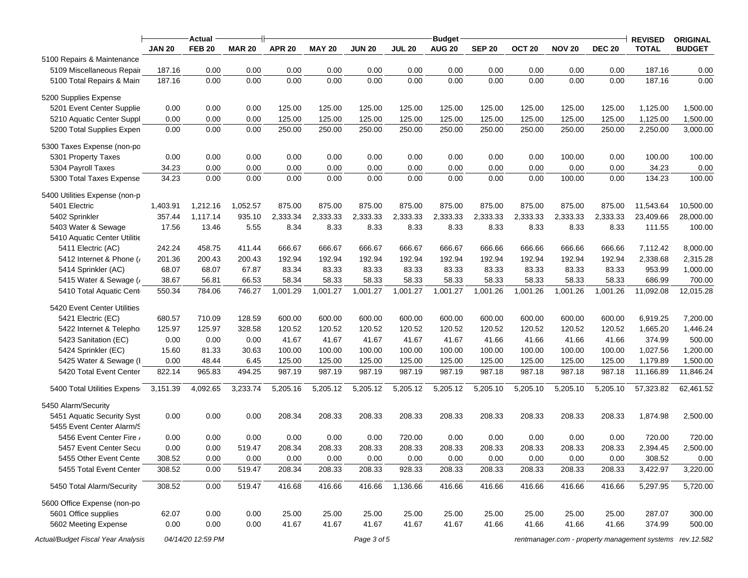|                                    |               | Actual            |               |                                                                         |               |               |               | <b>Budget</b> |               |                   |               |               | <b>REVISED</b> | <b>ORIGINAL</b> |
|------------------------------------|---------------|-------------------|---------------|-------------------------------------------------------------------------|---------------|---------------|---------------|---------------|---------------|-------------------|---------------|---------------|----------------|-----------------|
|                                    | <b>JAN 20</b> | <b>FEB 20</b>     | <b>MAR 20</b> | <b>APR 20</b>                                                           | <b>MAY 20</b> | <b>JUN 20</b> | <b>JUL 20</b> | <b>AUG 20</b> | <b>SEP 20</b> | OCT <sub>20</sub> | <b>NOV 20</b> | <b>DEC 20</b> | <b>TOTAL</b>   | <b>BUDGET</b>   |
| 5100 Repairs & Maintenance         |               |                   |               |                                                                         |               |               |               |               |               |                   |               |               |                |                 |
| 5109 Miscellaneous Repair          | 187.16        | 0.00              | 0.00          | 0.00                                                                    | 0.00          | 0.00          | 0.00          | 0.00          | 0.00          | 0.00              | 0.00          | 0.00          | 187.16         | 0.00            |
| 5100 Total Repairs & Maint         | 187.16        | 0.00              | 0.00          | 0.00                                                                    | 0.00          | 0.00          | 0.00          | 0.00          | 0.00          | 0.00              | 0.00          | 0.00          | 187.16         | 0.00            |
| 5200 Supplies Expense              |               |                   |               |                                                                         |               |               |               |               |               |                   |               |               |                |                 |
| 5201 Event Center Supplie          | 0.00          | 0.00              | 0.00          | 125.00                                                                  | 125.00        | 125.00        | 125.00        | 125.00        | 125.00        | 125.00            | 125.00        | 125.00        | 1,125.00       | 1,500.00        |
| 5210 Aquatic Center Suppl          | 0.00          | 0.00              | 0.00          | 125.00                                                                  | 125.00        | 125.00        | 125.00        | 125.00        | 125.00        | 125.00            | 125.00        | 125.00        | 1,125.00       | 1,500.00        |
| 5200 Total Supplies Expen          | 0.00          | 0.00              | 0.00          | 250.00                                                                  | 250.00        | 250.00        | 250.00        | 250.00        | 250.00        | 250.00            | 250.00        | 250.00        | 2,250.00       | 3,000.00        |
| 5300 Taxes Expense (non-po         |               |                   |               |                                                                         |               |               |               |               |               |                   |               |               |                |                 |
| 5301 Property Taxes                | 0.00          | 0.00              | 0.00          | 0.00                                                                    | 0.00          | 0.00          | 0.00          | 0.00          | 0.00          | 0.00              | 100.00        | 0.00          | 100.00         | 100.00          |
| 5304 Payroll Taxes                 | 34.23         | 0.00              | 0.00          | 0.00                                                                    | 0.00          | 0.00          | 0.00          | 0.00          | 0.00          | 0.00              | 0.00          | 0.00          | 34.23          | 0.00            |
| 5300 Total Taxes Expense           | 34.23         | 0.00              | 0.00          | 0.00                                                                    | 0.00          | 0.00          | 0.00          | 0.00          | 0.00          | 0.00              | 100.00        | 0.00          | 134.23         | 100.00          |
| 5400 Utilities Expense (non-p      |               |                   |               |                                                                         |               |               |               |               |               |                   |               |               |                |                 |
| 5401 Electric                      | 1,403.91      | 1,212.16          | 1,052.57      | 875.00                                                                  | 875.00        | 875.00        | 875.00        | 875.00        | 875.00        | 875.00            | 875.00        | 875.00        | 11,543.64      | 10,500.00       |
| 5402 Sprinkler                     | 357.44        | 1,117.14          | 935.10        | 2,333.34                                                                | 2,333.33      | 2,333.33      | 2,333.33      | 2,333.33      | 2,333.33      | 2,333.33          | 2,333.33      | 2,333.33      | 23,409.66      | 28,000.00       |
| 5403 Water & Sewage                | 17.56         | 13.46             | 5.55          | 8.34                                                                    | 8.33          | 8.33          | 8.33          | 8.33          | 8.33          | 8.33              | 8.33          | 8.33          | 111.55         | 100.00          |
| 5410 Aquatic Center Utilitie       |               |                   |               |                                                                         |               |               |               |               |               |                   |               |               |                |                 |
|                                    |               |                   |               |                                                                         |               |               |               |               |               |                   |               |               |                | 8,000.00        |
| 5411 Electric (AC)                 | 242.24        | 458.75            | 411.44        | 666.67                                                                  | 666.67        | 666.67        | 666.67        | 666.67        | 666.66        | 666.66            | 666.66        | 666.66        | 7,112.42       |                 |
| 5412 Internet & Phone (            | 201.36        | 200.43            | 200.43        | 192.94                                                                  | 192.94        | 192.94        | 192.94        | 192.94        | 192.94        | 192.94            | 192.94        | 192.94        | 2,338.68       | 2,315.28        |
| 5414 Sprinkler (AC)                | 68.07         | 68.07             | 67.87         | 83.34                                                                   | 83.33         | 83.33         | 83.33         | 83.33         | 83.33         | 83.33             | 83.33         | 83.33         | 953.99         | 1,000.00        |
| 5415 Water & Sewage (              | 38.67         | 56.81             | 66.53         | 58.34                                                                   | 58.33         | 58.33         | 58.33         | 58.33         | 58.33         | 58.33             | 58.33         | 58.33         | 686.99         | 700.00          |
| 5410 Total Aquatic Cent            | 550.34        | 784.06            | 746.27        | 1,001.29                                                                | 1,001.27      | 1,001.27      | 1,001.27      | 1,001.27      | 1,001.26      | 1,001.26          | 1,001.26      | 1,001.26      | 11,092.08      | 12,015.28       |
| 5420 Event Center Utilities        |               |                   |               |                                                                         |               |               |               |               |               |                   |               |               |                |                 |
| 5421 Electric (EC)                 | 680.57        | 710.09            | 128.59        | 600.00                                                                  | 600.00        | 600.00        | 600.00        | 600.00        | 600.00        | 600.00            | 600.00        | 600.00        | 6,919.25       | 7,200.00        |
| 5422 Internet & Telephor           | 125.97        | 125.97            | 328.58        | 120.52                                                                  | 120.52        | 120.52        | 120.52        | 120.52        | 120.52        | 120.52            | 120.52        | 120.52        | 1,665.20       | 1,446.24        |
| 5423 Sanitation (EC)               | 0.00          | 0.00              | 0.00          | 41.67                                                                   | 41.67         | 41.67         | 41.67         | 41.67         | 41.66         | 41.66             | 41.66         | 41.66         | 374.99         | 500.00          |
| 5424 Sprinkler (EC)                | 15.60         | 81.33             | 30.63         | 100.00                                                                  | 100.00        | 100.00        | 100.00        | 100.00        | 100.00        | 100.00            | 100.00        | 100.00        | 1,027.56       | 1,200.00        |
| 5425 Water & Sewage (I             | 0.00          | 48.44             | 6.45          | 125.00                                                                  | 125.00        | 125.00        | 125.00        | 125.00        | 125.00        | 125.00            | 125.00        | 125.00        | 1,179.89       | 1,500.00        |
| 5420 Total Event Center            | 822.14        | 965.83            | 494.25        | 987.19                                                                  | 987.19        | 987.19        | 987.19        | 987.19        | 987.18        | 987.18            | 987.18        | 987.18        | 11,166.89      | 11,846.24       |
| 5400 Total Utilities Expense       | 3,151.39      | 4,092.65          | 3,233.74      | 5,205.16                                                                | 5,205.12      | 5,205.12      | 5,205.12      | 5,205.12      | 5,205.10      | 5,205.10          | 5,205.10      | 5,205.10      | 57,323.82      | 62,461.52       |
| 5450 Alarm/Security                |               |                   |               |                                                                         |               |               |               |               |               |                   |               |               |                |                 |
| 5451 Aquatic Security Syst         | 0.00          | 0.00              | 0.00          | 208.34                                                                  | 208.33        | 208.33        | 208.33        | 208.33        | 208.33        | 208.33            | 208.33        | 208.33        | 1,874.98       | 2,500.00        |
| 5455 Event Center Alarm/S          |               |                   |               |                                                                         |               |               |               |               |               |                   |               |               |                |                 |
| 5456 Event Center Fire /           | 0.00          | 0.00              | 0.00          | 0.00                                                                    | 0.00          | 0.00          | 720.00        | 0.00          | 0.00          | 0.00              | 0.00          | 0.00          | 720.00         | 720.00          |
| 5457 Event Center Secu             | 0.00          | 0.00              | 519.47        | 208.34                                                                  | 208.33        | 208.33        | 208.33        | 208.33        | 208.33        | 208.33            | 208.33        | 208.33        | 2,394.45       | 2,500.00        |
| 5455 Other Event Cente             | 308.52        | 0.00              | 0.00          | 0.00                                                                    | 0.00          | 0.00          | 0.00          | 0.00          | 0.00          | 0.00              | 0.00          | 0.00          | 308.52         | 0.00            |
| 5455 Total Event Center            | 308.52        | 0.00              | 519.47        | 208.34                                                                  | 208.33        |               | 928.33        | 208.33        | 208.33        |                   | 208.33        |               |                | 3,220.00        |
|                                    |               |                   |               |                                                                         |               | 208.33        |               |               |               | 208.33            |               | 208.33        | 3,422.97       |                 |
| 5450 Total Alarm/Security          | 308.52        | 0.00              | 519.47        | 416.68                                                                  | 416.66        | 416.66        | 1,136.66      | 416.66        | 416.66        | 416.66            | 416.66        | 416.66        | 5,297.95       | 5,720.00        |
| 5600 Office Expense (non-po        |               |                   |               |                                                                         |               |               |               |               |               |                   |               |               |                |                 |
| 5601 Office supplies               | 62.07         | 0.00              | 0.00          | 25.00                                                                   | 25.00         | 25.00         | 25.00         | 25.00         | 25.00         | 25.00             | 25.00         | 25.00         | 287.07         | 300.00          |
| 5602 Meeting Expense               | 0.00          | 0.00              | 0.00          | 41.67                                                                   | 41.67         | 41.67         | 41.67         | 41.67         | 41.66         | 41.66             | 41.66         | 41.66         | 374.99         | 500.00          |
| Actual/Budget Fiscal Year Analysis |               | 04/14/20 12:59 PM |               | Page 3 of 5<br>rentmanager.com - property management systems rev.12.582 |               |               |               |               |               |                   |               |               |                |                 |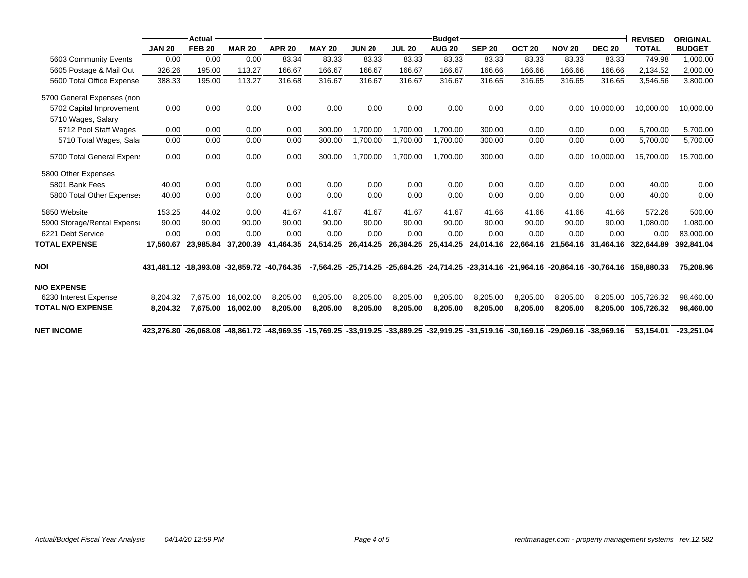|                             |                                                                                                                                     | Actual        |               |               |               |               |               | <b>Budget</b> |               |                   |               |               | <b>REVISED</b>                                                                                    | <b>ORIGINAL</b> |
|-----------------------------|-------------------------------------------------------------------------------------------------------------------------------------|---------------|---------------|---------------|---------------|---------------|---------------|---------------|---------------|-------------------|---------------|---------------|---------------------------------------------------------------------------------------------------|-----------------|
|                             | <b>JAN 20</b>                                                                                                                       | <b>FEB 20</b> | <b>MAR 20</b> | <b>APR 20</b> | <b>MAY 20</b> | <b>JUN 20</b> | <b>JUL 20</b> | <b>AUG 20</b> | <b>SEP 20</b> | OCT <sub>20</sub> | <b>NOV 20</b> | <b>DEC 20</b> | <b>TOTAL</b>                                                                                      | <b>BUDGET</b>   |
| 5603 Community Events       | 0.00                                                                                                                                | 0.00          | 0.00          | 83.34         | 83.33         | 83.33         | 83.33         | 83.33         | 83.33         | 83.33             | 83.33         | 83.33         | 749.98                                                                                            | 1,000.00        |
| 5605 Postage & Mail Out     | 326.26                                                                                                                              | 195.00        | 113.27        | 166.67        | 166.67        | 166.67        | 166.67        | 166.67        | 166.66        | 166.66            | 166.66        | 166.66        | 2,134.52                                                                                          | 2,000.00        |
| 5600 Total Office Expense   | 388.33                                                                                                                              | 195.00        | 113.27        | 316.68        | 316.67        | 316.67        | 316.67        | 316.67        | 316.65        | 316.65            | 316.65        | 316.65        | 3,546.56                                                                                          | 3,800.00        |
| 5700 General Expenses (non  |                                                                                                                                     |               |               |               |               |               |               |               |               |                   |               |               |                                                                                                   |                 |
| 5702 Capital Improvement    | 0.00                                                                                                                                | 0.00          | 0.00          | 0.00          | 0.00          | 0.00          | 0.00          | 0.00          | 0.00          | 0.00              | 0.00          | 10,000.00     | 10,000.00                                                                                         | 10,000.00       |
| 5710 Wages, Salary          |                                                                                                                                     |               |               |               |               |               |               |               |               |                   |               |               |                                                                                                   |                 |
| 5712 Pool Staff Wages       | 0.00                                                                                                                                | 0.00          | 0.00          | 0.00          | 300.00        | 1,700.00      | 1,700.00      | 1,700.00      | 300.00        | 0.00              | 0.00          | 0.00          | 5,700.00                                                                                          | 5,700.00        |
| 5710 Total Wages, Salar     | 0.00                                                                                                                                | 0.00          | 0.00          | 0.00          | 300.00        | 1,700.00      | 1,700.00      | 1,700.00      | 300.00        | 0.00              | 0.00          | 0.00          | 5,700.00                                                                                          | 5,700.00        |
| 5700 Total General Expens   | 0.00                                                                                                                                | 0.00          | 0.00          | 0.00          | 300.00        | 1,700.00      | 1.700.00      | 1.700.00      | 300.00        | 0.00              | 0.00          | 10,000.00     | 15,700.00                                                                                         | 15,700.00       |
| 5800 Other Expenses         |                                                                                                                                     |               |               |               |               |               |               |               |               |                   |               |               |                                                                                                   |                 |
| 5801 Bank Fees              | 40.00                                                                                                                               | 0.00          | 0.00          | 0.00          | 0.00          | 0.00          | 0.00          | 0.00          | 0.00          | 0.00              | 0.00          | 0.00          | 40.00                                                                                             | 0.00            |
| 5800 Total Other Expenses   | 40.00                                                                                                                               | 0.00          | 0.00          | 0.00          | 0.00          | 0.00          | 0.00          | 0.00          | 0.00          | 0.00              | 0.00          | 0.00          | 40.00                                                                                             | 0.00            |
| 5850 Website                | 153.25                                                                                                                              | 44.02         | 0.00          | 41.67         | 41.67         | 41.67         | 41.67         | 41.67         | 41.66         | 41.66             | 41.66         | 41.66         | 572.26                                                                                            | 500.00          |
| 5900 Storage/Rental Expense | 90.00                                                                                                                               | 90.00         | 90.00         | 90.00         | 90.00         | 90.00         | 90.00         | 90.00         | 90.00         | 90.00             | 90.00         | 90.00         | 1,080.00                                                                                          | 1,080.00        |
| 6221 Debt Service           | 0.00                                                                                                                                | 0.00          | 0.00          | 0.00          | 0.00          | 0.00          | 0.00          | 0.00          | 0.00          | 0.00              | 0.00          | 0.00          | 0.00                                                                                              | 83,000.00       |
| <b>TOTAL EXPENSE</b>        | 17.560.67                                                                                                                           | 23,985.84     | 37,200.39     | 41,464.35     | 24,514.25     | 26,414.25     | 26,384.25     | 25,414.25     | 24,014.16     | 22,664.16         | 21,564.16     | 31,464.16     | 322,644.89                                                                                        | 392,841.04      |
| <b>NOI</b>                  | 431,481.12 -18,393.08 -32,859.72 -40,764.35                                                                                         |               |               |               |               |               |               |               |               |                   |               |               | -7,564.25 -25,714.25 -25,684.25 -24,714.25 -23,314.16 -21,964.16 -20,864.16 -30,764.16 158,880.33 | 75.208.96       |
| <b>N/O EXPENSE</b>          |                                                                                                                                     |               |               |               |               |               |               |               |               |                   |               |               |                                                                                                   |                 |
| 6230 Interest Expense       | 8,204.32                                                                                                                            | 7.675.00      | 16,002.00     | 8,205.00      | 8,205.00      | 8,205.00      | 8,205.00      | 8,205.00      | 8,205.00      | 8,205.00          | 8,205.00      | 8.205.00      | 105.726.32                                                                                        | 98,460.00       |
| <b>TOTAL N/O EXPENSE</b>    | 8.204.32                                                                                                                            | 7,675.00      | 16,002.00     | 8,205.00      | 8,205.00      | 8,205.00      | 8,205.00      | 8,205.00      | 8,205.00      | 8,205.00          | 8,205.00      | 8,205.00      | 105,726.32                                                                                        | 98,460.00       |
| <b>NET INCOME</b>           | 423,276.80 -26,068.08 -48,861.72 -48,969.35 -15,769.25 -33,919.25 -33,889.25 -32,919.25 -31,519.16 -30,169.16 -29,069.16 -38,969.16 |               |               |               |               |               |               |               |               |                   |               |               | 53.154.01                                                                                         | $-23.251.04$    |